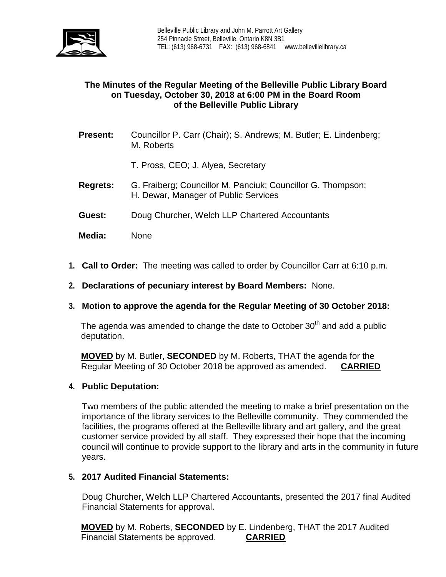

# **The Minutes of the Regular Meeting of the Belleville Public Library Board on Tuesday, October 30, 2018 at 6:00 PM in the Board Room of the Belleville Public Library**

**Present:** Councillor P. Carr (Chair); S. Andrews; M. Butler; E. Lindenberg; M. Roberts

T. Pross, CEO; J. Alyea, Secretary

- **Regrets:** G. Fraiberg; Councillor M. Panciuk; Councillor G. Thompson; H. Dewar, Manager of Public Services
- **Guest:** Doug Churcher, Welch LLP Chartered Accountants
- **Media:** None
- **1. Call to Order:** The meeting was called to order by Councillor Carr at 6:10 p.m.
- **2. Declarations of pecuniary interest by Board Members:** None.
- **3. Motion to approve the agenda for the Regular Meeting of 30 October 2018:**

The agenda was amended to change the date to October  $30<sup>th</sup>$  and add a public deputation.

**MOVED** by M. Butler, **SECONDED** by M. Roberts, THAT the agenda for the Regular Meeting of 30 October 2018 be approved as amended. **CARRIED**

## **4. Public Deputation:**

Two members of the public attended the meeting to make a brief presentation on the importance of the library services to the Belleville community. They commended the facilities, the programs offered at the Belleville library and art gallery, and the great customer service provided by all staff. They expressed their hope that the incoming council will continue to provide support to the library and arts in the community in future years.

## **5. 2017 Audited Financial Statements:**

Doug Churcher, Welch LLP Chartered Accountants, presented the 2017 final Audited Financial Statements for approval.

**MOVED** by M. Roberts, **SECONDED** by E. Lindenberg, THAT the 2017 Audited Financial Statements be approved. **CARRIED**